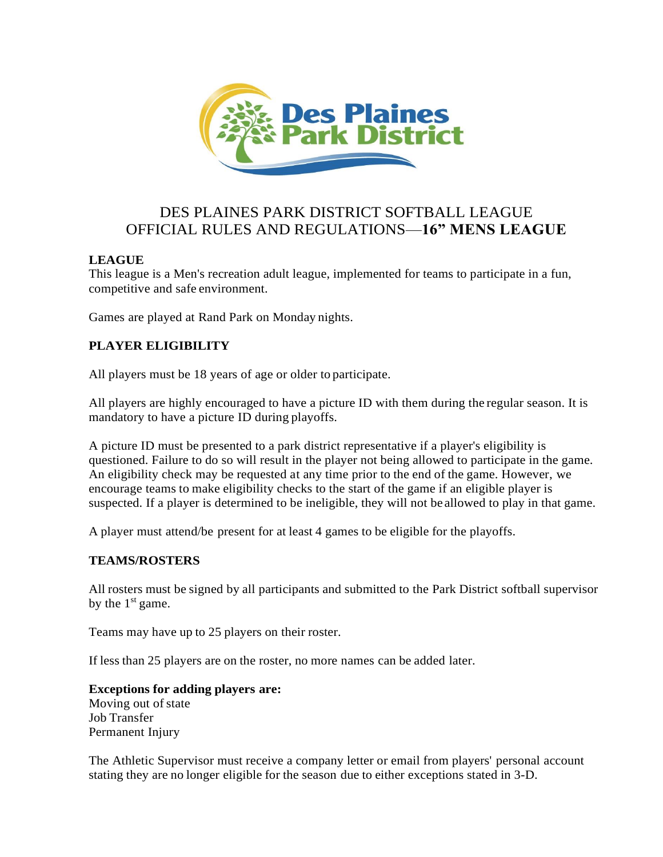

# DES PLAINES PARK DISTRICT SOFTBALL LEAGUE OFFICIAL RULES AND REGULATIONS—**16" MENS LEAGUE**

# **LEAGUE**

This league is a Men's recreation adult league, implemented for teams to participate in a fun, competitive and safe environment.

Games are played at Rand Park on Monday nights.

# **PLAYER ELIGIBILITY**

All players must be 18 years of age or older to participate.

All players are highly encouraged to have a picture ID with them during the regular season. It is mandatory to have a picture ID during playoffs.

A picture ID must be presented to a park district representative if a player's eligibility is questioned. Failure to do so will result in the player not being allowed to participate in the game. An eligibility check may be requested at any time prior to the end of the game. However, we encourage teams to make eligibility checks to the start of the game if an eligible player is suspected. If a player is determined to be ineligible, they will not be allowed to play in that game.

A player must attend/be present for at least 4 games to be eligible for the playoffs.

# **TEAMS/ROSTERS**

All rosters must be signed by all participants and submitted to the Park District softball supervisor by the  $1<sup>st</sup>$  game.

Teams may have up to 25 players on their roster.

If less than 25 players are on the roster, no more names can be added later.

# **Exceptions for adding players are:**

Moving out of state Job Transfer Permanent Injury

The Athletic Supervisor must receive a company letter or email from players' personal account stating they are no longer eligible for the season due to either exceptions stated in 3-D.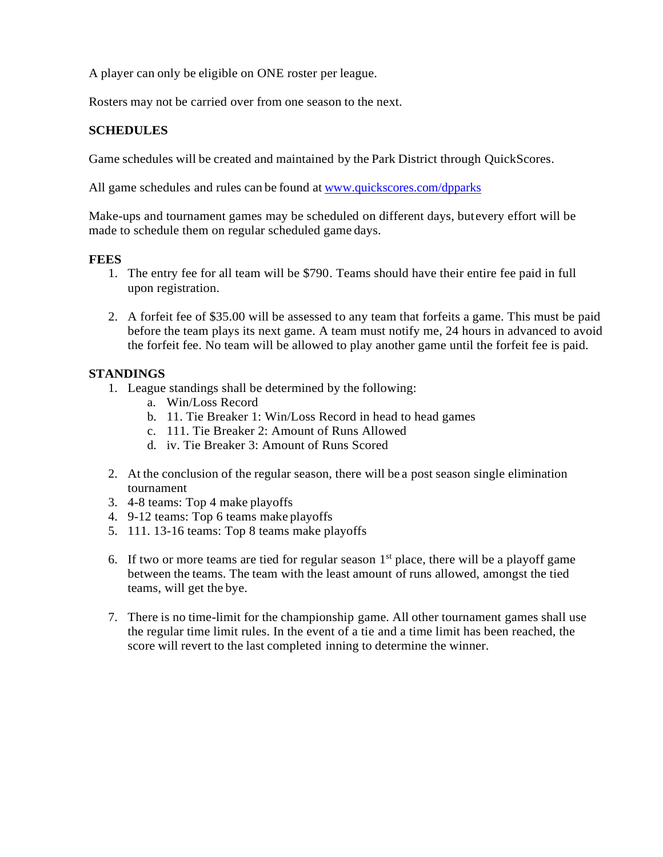A player can only be eligible on ONE roster per league.

Rosters may not be carried over from one season to the next.

# **SCHEDULES**

Game schedules will be created and maintained by the Park District through QuickScores.

All game schedules and rules can be found at [www.quickscores.com/dpparks](http://www.quickscores.com/dpparks)

Make-ups and tournament games may be scheduled on different days, butevery effort will be made to schedule them on regular scheduled game days.

#### **FEES**

- 1. The entry fee for all team will be \$790. Teams should have their entire fee paid in full upon registration.
- 2. A forfeit fee of \$35.00 will be assessed to any team that forfeits a game. This must be paid before the team plays its next game. A team must notify me, 24 hours in advanced to avoid the forfeit fee. No team will be allowed to play another game until the forfeit fee is paid.

# **STANDINGS**

- 1. League standings shall be determined by the following:
	- a. Win/Loss Record
	- b. 11. Tie Breaker 1: Win/Loss Record in head to head games
	- c. 111. Tie Breaker 2: Amount of Runs Allowed
	- d. iv. Tie Breaker 3: Amount of Runs Scored
- 2. At the conclusion of the regular season, there will be a post season single elimination tournament
- 3. 4-8 teams: Top 4 make playoffs
- 4. 9-12 teams: Top 6 teams make playoffs
- 5. 111. 13-16 teams: Top 8 teams make playoffs
- 6. If two or more teams are tied for regular season  $1<sup>st</sup>$  place, there will be a playoff game between the teams. The team with the least amount of runs allowed, amongst the tied teams, will get the bye.
- 7. There is no time-limit for the championship game. All other tournament games shall use the regular time limit rules. In the event of a tie and a time limit has been reached, the score will revert to the last completed inning to determine the winner.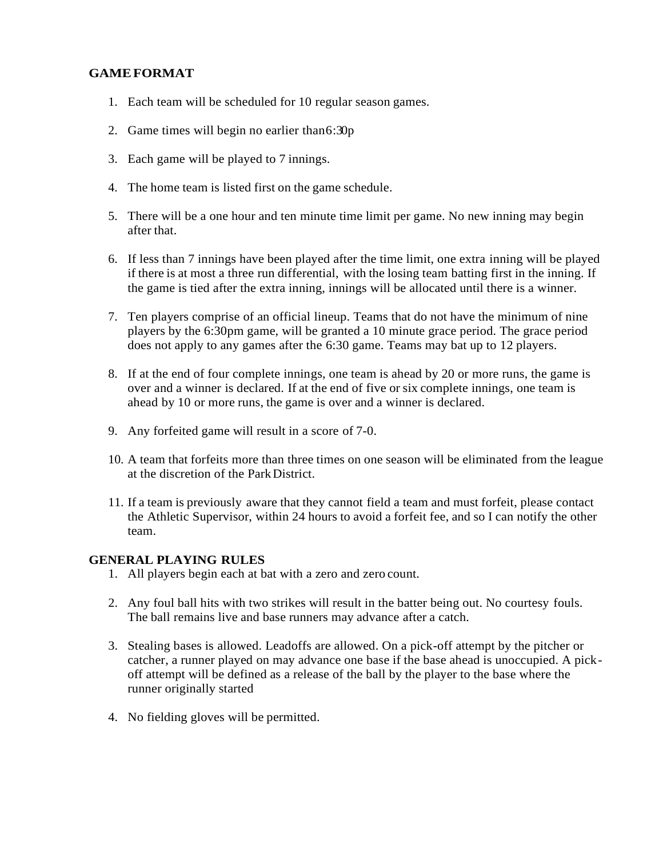# **GAMEFORMAT**

- 1. Each team will be scheduled for 10 regular season games.
- 2. Game times will begin no earlier than  $6:30p$
- 3. Each game will be played to 7 innings.
- 4. The home team is listed first on the game schedule.
- 5. There will be a one hour and ten minute time limit per game. No new inning may begin after that.
- 6. If less than 7 innings have been played after the time limit, one extra inning will be played if there is at most a three run differential, with the losing team batting first in the inning. If the game is tied after the extra inning, innings will be allocated until there is a winner.
- 7. Ten players comprise of an official lineup. Teams that do not have the minimum of nine players by the 6:30pm game, will be granted a 10 minute grace period. The grace period does not apply to any games after the 6:30 game. Teams may bat up to 12 players.
- 8. If at the end of four complete innings, one team is ahead by 20 or more runs, the game is over and a winner is declared. If at the end of five or six complete innings, one team is ahead by 10 or more runs, the game is over and a winner is declared.
- 9. Any forfeited game will result in a score of 7-0.
- 10. A team that forfeits more than three times on one season will be eliminated from the league at the discretion of the ParkDistrict.
- 11. If a team is previously aware that they cannot field a team and must forfeit, please contact the Athletic Supervisor, within 24 hours to avoid a forfeit fee, and so I can notify the other team.

#### **GENERAL PLAYING RULES**

- 1. All players begin each at bat with a zero and zero count.
- 2. Any foul ball hits with two strikes will result in the batter being out. No courtesy fouls. The ball remains live and base runners may advance after a catch.
- 3. Stealing bases is allowed. Leadoffs are allowed. On a pick-off attempt by the pitcher or catcher, a runner played on may advance one base if the base ahead is unoccupied. A pickoff attempt will be defined as a release of the ball by the player to the base where the runner originally started
- 4. No fielding gloves will be permitted.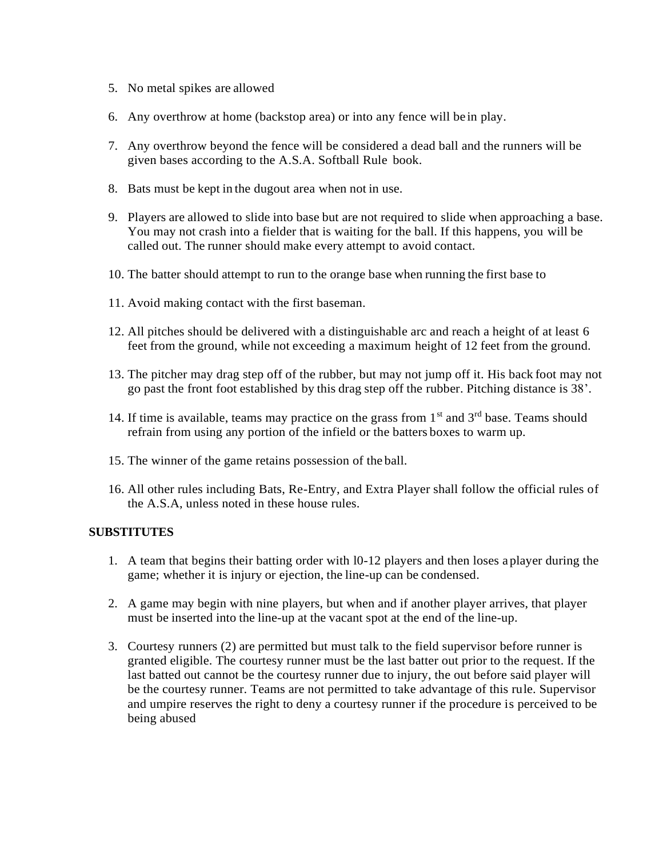- 5. No metal spikes are allowed
- 6. Any overthrow at home (backstop area) or into any fence will be in play.
- 7. Any overthrow beyond the fence will be considered a dead ball and the runners will be given bases according to the A.S.A. Softball Rule book.
- 8. Bats must be kept in the dugout area when not in use.
- 9. Players are allowed to slide into base but are not required to slide when approaching a base. You may not crash into a fielder that is waiting for the ball. If this happens, you will be called out. The runner should make every attempt to avoid contact.
- 10. The batter should attempt to run to the orange base when running the first base to
- 11. Avoid making contact with the first baseman.
- 12. All pitches should be delivered with a distinguishable arc and reach a height of at least 6 feet from the ground, while not exceeding a maximum height of 12 feet from the ground.
- 13. The pitcher may drag step off of the rubber, but may not jump off it. His back foot may not go past the front foot established by this drag step off the rubber. Pitching distance is 38'.
- 14. If time is available, teams may practice on the grass from  $1<sup>st</sup>$  and  $3<sup>rd</sup>$  base. Teams should refrain from using any portion of the infield or the batters boxes to warm up.
- 15. The winner of the game retains possession of the ball.
- 16. All other rules including Bats, Re-Entry, and Extra Player shall follow the official rules of the A.S.A, unless noted in these house rules.

# **SUBSTITUTES**

- 1. A team that begins their batting order with l0-12 players and then loses aplayer during the game; whether it is injury or ejection, the line-up can be condensed.
- 2. A game may begin with nine players, but when and if another player arrives, that player must be inserted into the line-up at the vacant spot at the end of the line-up.
- 3. Courtesy runners (2) are permitted but must talk to the field supervisor before runner is granted eligible. The courtesy runner must be the last batter out prior to the request. If the last batted out cannot be the courtesy runner due to injury, the out before said player will be the courtesy runner. Teams are not permitted to take advantage of this rule. Supervisor and umpire reserves the right to deny a courtesy runner if the procedure is perceived to be being abused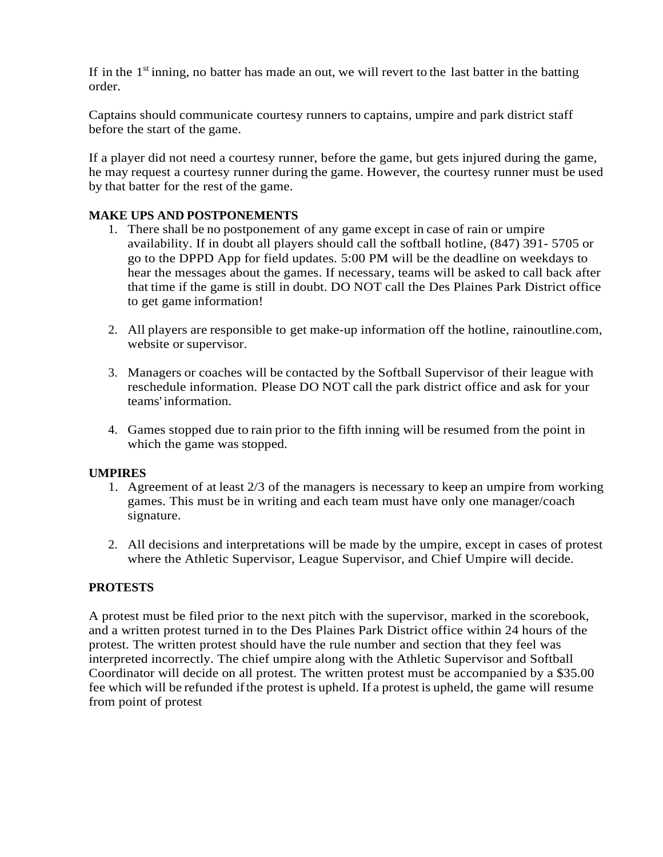If in the 1<sup>st</sup> inning, no batter has made an out, we will revert to the last batter in the batting order.

Captains should communicate courtesy runners to captains, umpire and park district staff before the start of the game.

If a player did not need a courtesy runner, before the game, but gets injured during the game, he may request a courtesy runner during the game. However, the courtesy runner must be used by that batter for the rest of the game.

# **MAKE UPS AND POSTPONEMENTS**

- 1. There shall be no postponement of any game except in case of rain or umpire availability. If in doubt all players should call the softball hotline, (847) 391- 5705 or go to the DPPD App for field updates. 5:00 PM will be the deadline on weekdays to hear the messages about the games. If necessary, teams will be asked to call back after that time if the game is still in doubt. DO NOT call the Des Plaines Park District office to get game information!
- 2. All players are responsible to get make-up information off the hotline, rainoutline.com, website or supervisor.
- 3. Managers or coaches will be contacted by the Softball Supervisor of their league with reschedule information. Please DO NOT call the park district office and ask for your teams' information.
- 4. Games stopped due to rain prior to the fifth inning will be resumed from the point in which the game was stopped.

#### **UMPIRES**

- 1. Agreement of at least 2/3 of the managers is necessary to keep an umpire from working games. This must be in writing and each team must have only one manager/coach signature.
- 2. All decisions and interpretations will be made by the umpire, except in cases of protest where the Athletic Supervisor, League Supervisor, and Chief Umpire will decide.

#### **PROTESTS**

A protest must be filed prior to the next pitch with the supervisor, marked in the scorebook, and a written protest turned in to the Des Plaines Park District office within 24 hours of the protest. The written protest should have the rule number and section that they feel was interpreted incorrectly. The chief umpire along with the Athletic Supervisor and Softball Coordinator will decide on all protest. The written protest must be accompanied by a \$35.00 fee which will be refunded ifthe protest is upheld. If a protest is upheld, the game will resume from point of protest